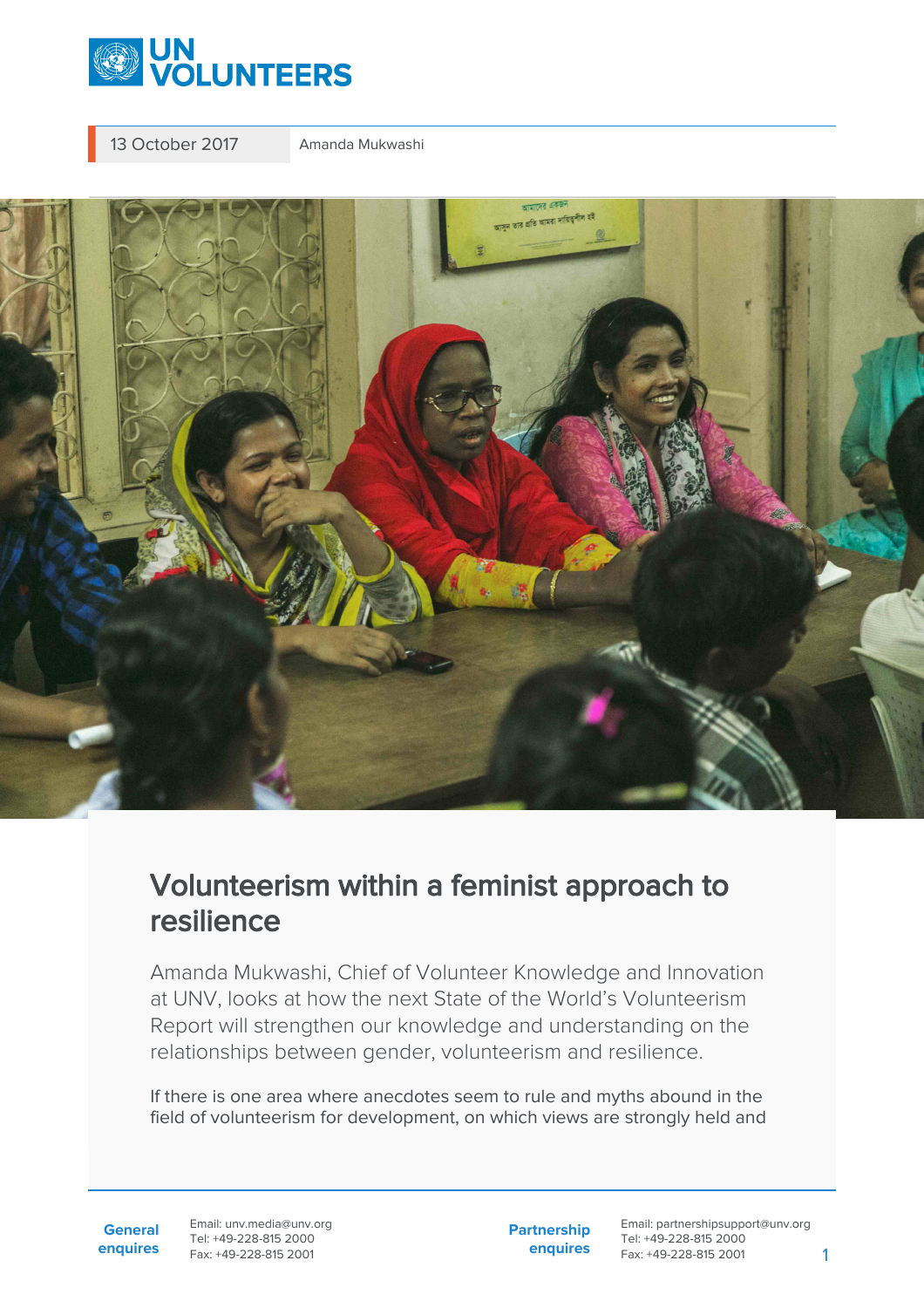

13 October 2017 Amanda Mukwashi



## Volunteerism within a feminist approach to resilience

Amanda Mukwashi, Chief of Volunteer Knowledge and Innovation at UNV, looks at how the next State of the World's Volunteerism Report will strengthen our knowledge and understanding on the relationships between gender, volunteerism and resilience.

If there is one area where anecdotes seem to rule and myths abound in the field of volunteerism for development, on which views are strongly held and

**General enquires** Email: unv.media@unv.org Tel: +49-228-815 2000 Fax: +49-228-815 2001

**Partnership enquires**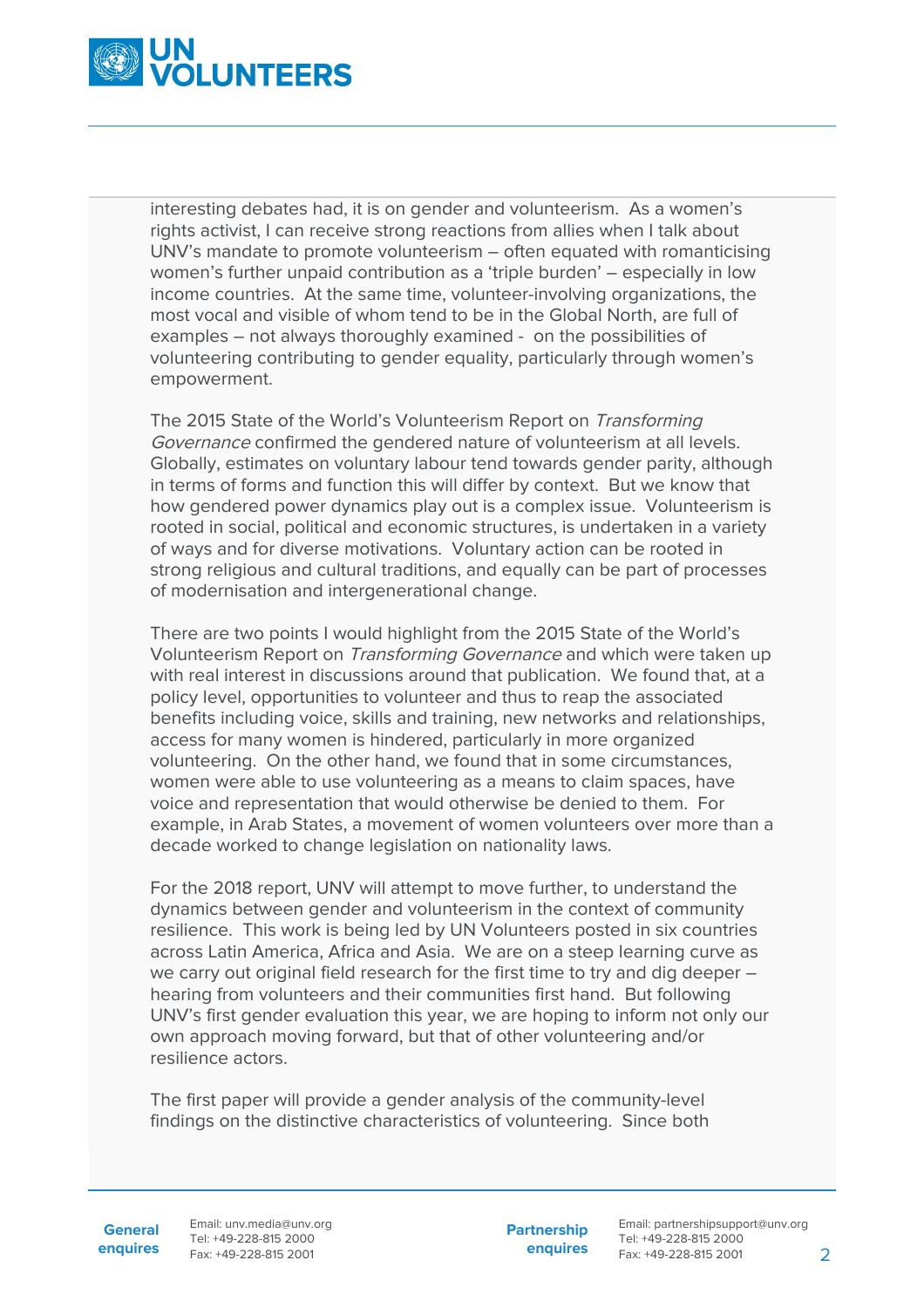

interesting debates had, it is on gender and volunteerism. As a women's rights activist, I can receive strong reactions from allies when I talk about UNV's mandate to promote volunteerism – often equated with romanticising women's further unpaid contribution as a 'triple burden' – especially in low income countries. At the same time, volunteer-involving organizations, the most vocal and visible of whom tend to be in the Global North, are full of examples – not always thoroughly examined - on the possibilities of volunteering contributing to gender equality, particularly through women's empowerment.

The 2015 State of the World's Volunteerism Report on Transforming Governance confirmed the gendered nature of volunteerism at all levels. Globally, estimates on voluntary labour tend towards gender parity, although in terms of forms and function this will differ by context. But we know that how gendered power dynamics play out is a complex issue. Volunteerism is rooted in social, political and economic structures, is undertaken in a variety of ways and for diverse motivations. Voluntary action can be rooted in strong religious and cultural traditions, and equally can be part of processes of modernisation and intergenerational change.

There are two points I would highlight from the 2015 State of the World's Volunteerism Report on Transforming Governance and which were taken up with real interest in discussions around that publication. We found that, at a policy level, opportunities to volunteer and thus to reap the associated benefits including voice, skills and training, new networks and relationships, access for many women is hindered, particularly in more organized volunteering. On the other hand, we found that in some circumstances, women were able to use volunteering as a means to claim spaces, have voice and representation that would otherwise be denied to them. For example, in Arab States, a movement of women volunteers over more than a decade worked to change legislation on nationality laws.

For the 2018 report, UNV will attempt to move further, to understand the dynamics between gender and volunteerism in the context of community resilience. This work is being led by UN Volunteers posted in six countries across Latin America, Africa and Asia. We are on a steep learning curve as we carry out original field research for the first time to try and dig deeper – hearing from volunteers and their communities first hand. But following UNV's first gender evaluation this year, we are hoping to inform not only our own approach moving forward, but that of other volunteering and/or resilience actors.

The first paper will provide a gender analysis of the community-level findings on the distinctive characteristics of volunteering. Since both

**General enquires**

Email: unv.media@unv.org Tel: +49-228-815 2000 Fax: +49-228-815 2001

**Partnership enquires**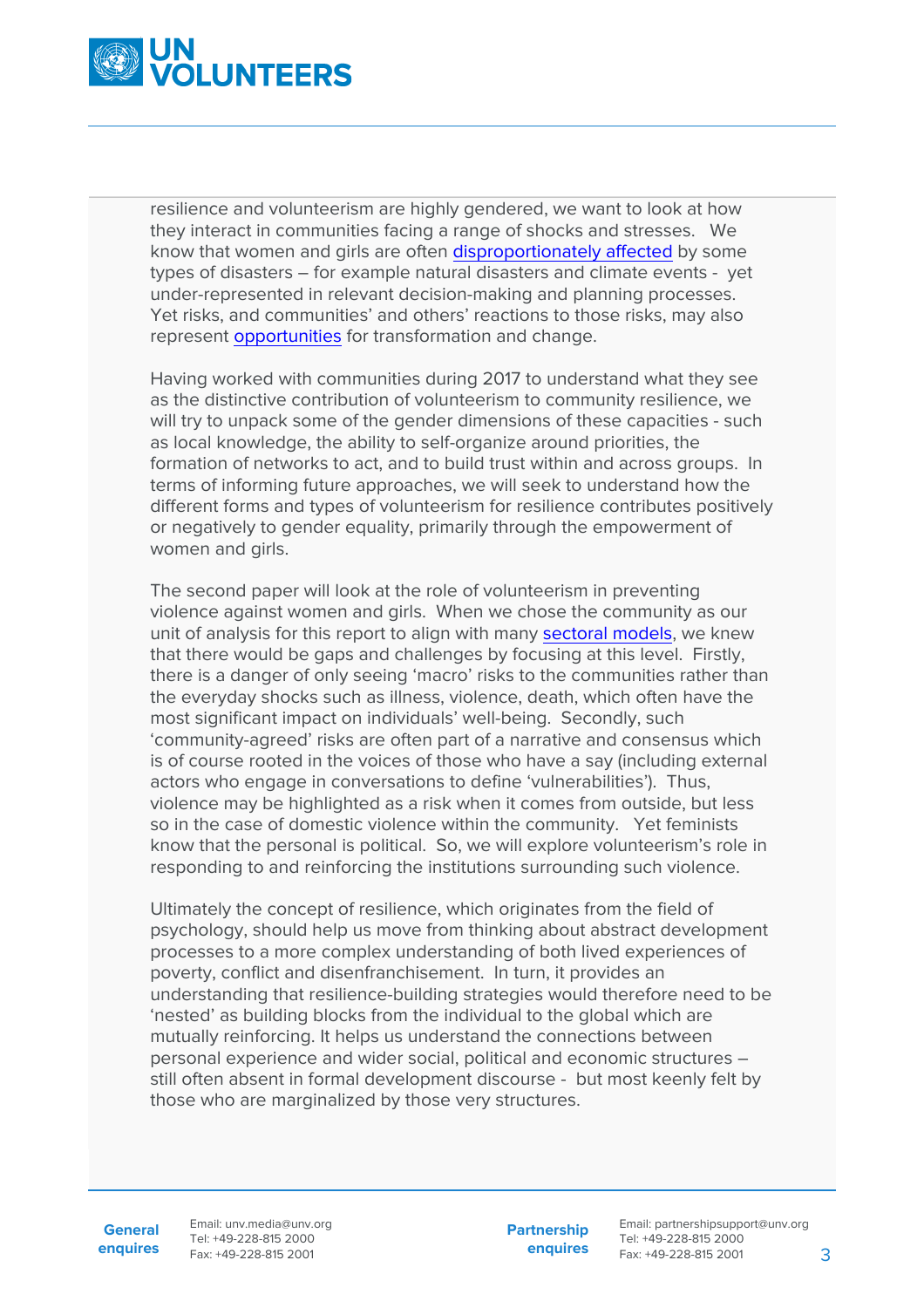

resilience and volunteerism are highly gendered, we want to look at how they interact in communities facing a range of shocks and stresses. We know that women and girls are often [disproportionately affected](https://www.gfdrr.org/sites/gfdrr/files/publication/Building-Social-Resilience-Protecting-and-Empowering-Those-Most-at-Risk.pdf) by some types of disasters – for example natural disasters and climate events - yet under-represented in relevant decision-making and planning processes. Yet risks, and communities' and others' reactions to those risks, may also represent [opportunities](https://journalinternaldisplacement.webs.com/Vol4No1/Krause_JID_Vol4_No1_2014.pdf) for transformation and change.

Having worked with communities during 2017 to understand what they see as the distinctive contribution of volunteerism to community resilience, we will try to unpack some of the gender dimensions of these capacities - such as local knowledge, the ability to self-organize around priorities, the formation of networks to act, and to build trust within and across groups. In terms of informing future approaches, we will seek to understand how the different forms and types of volunteerism for resilience contributes positively or negatively to gender equality, primarily through the empowerment of women and girls.

The second paper will look at the role of volunteerism in preventing violence against women and girls. When we chose the community as our unit of analysis for this report to align with many [sectoral models,](https://www.undp.org/content/undp/en/home/librarypage/environment-energy/sustainable_land_management/CoBRA/cobra-conceptual-framework) we knew that there would be gaps and challenges by focusing at this level. Firstly, there is a danger of only seeing 'macro' risks to the communities rather than the everyday shocks such as illness, violence, death, which often have the most significant impact on individuals' well-being. Secondly, such 'community-agreed' risks are often part of a narrative and consensus which is of course rooted in the voices of those who have a say (including external actors who engage in conversations to define 'vulnerabilities'). Thus, violence may be highlighted as a risk when it comes from outside, but less so in the case of domestic violence within the community. Yet feminists know that the personal is political. So, we will explore volunteerism's role in responding to and reinforcing the institutions surrounding such violence.

Ultimately the concept of resilience, which originates from the field of psychology, should help us move from thinking about abstract development processes to a more complex understanding of both lived experiences of poverty, conflict and disenfranchisement. In turn, it provides an understanding that resilience-building strategies would therefore need to be 'nested' as building blocks from the individual to the global which are mutually reinforcing. It helps us understand the connections between personal experience and wider social, political and economic structures – still often absent in formal development discourse - but most keenly felt by those who are marginalized by those very structures.

**General enquires** Email: unv.media@unv.org Tel: +49-228-815 2000 Fax: +49-228-815 2001

**Partnership enquires**